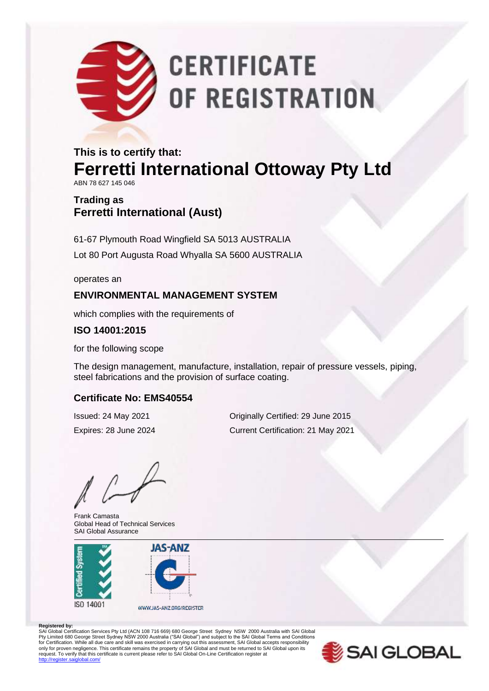# **CERTIFICATE** OF REGISTRATION

## **This is to certify that: Ferretti International Ottoway Pty Ltd**

ABN 78 627 145 046

### **Trading as Ferretti International (Aust)**

61-67 Plymouth Road Wingfield SA 5013 AUSTRALIA Lot 80 Port Augusta Road Whyalla SA 5600 AUSTRALIA

operates an

#### **ENVIRONMENTAL MANAGEMENT SYSTEM**

which complies with the requirements of

#### **ISO 14001:2015**

for the following scope

The design management, manufacture, installation, repair of pressure vessels, piping, steel fabrications and the provision of surface coating.

#### **Certificate No: EMS40554**

Frank Camasta Global Head of Technical Services SAI Global Assurance



Issued: 24 May 2021 Originally Certified: 29 June 2015 Expires: 28 June 2024 Current Certification: 21 May 2021

**Registered by:**<br>SAI Global Certification Services Pty Ltd (ACN 108 716 669) 680 George Street Sydney NSW 2000 Australia with SAI Global Pty Limited 680 George Street Sydney NSW 2000 Australia ("SAI Global") and subject to the SAI Global Terms and Conditions<br>for Certification. While all due care and skill was exercised in carrying out this assessment, SAI G only for proven negligence. This certificate remains the property of SAI Global and must be returned to SAI Global upon its<br>request. To verify that this certificate is current please refer to SAI Global On-Line Certificati .<br>diobal.com/